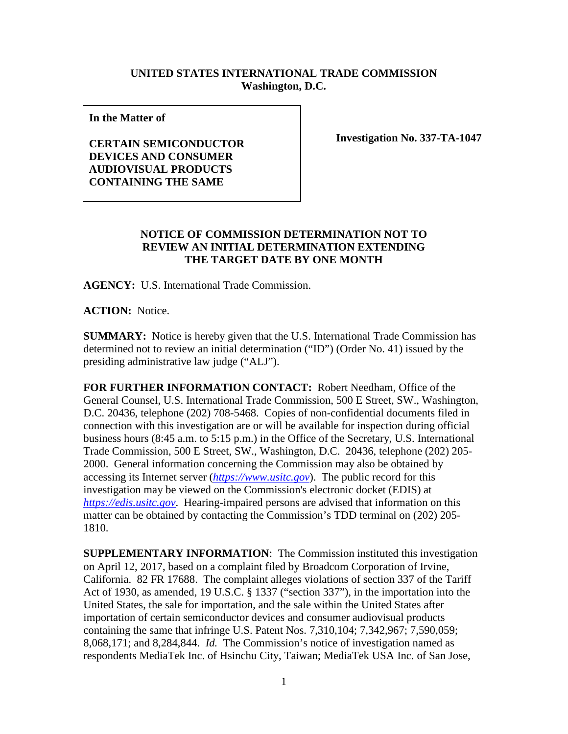## **UNITED STATES INTERNATIONAL TRADE COMMISSION Washington, D.C.**

**In the Matter of** 

**CERTAIN SEMICONDUCTOR DEVICES AND CONSUMER AUDIOVISUAL PRODUCTS CONTAINING THE SAME**

**Investigation No. 337-TA-1047**

## **NOTICE OF COMMISSION DETERMINATION NOT TO REVIEW AN INITIAL DETERMINATION EXTENDING THE TARGET DATE BY ONE MONTH**

**AGENCY:** U.S. International Trade Commission.

**ACTION:** Notice.

**SUMMARY:** Notice is hereby given that the U.S. International Trade Commission has determined not to review an initial determination ("ID") (Order No. 41) issued by the presiding administrative law judge ("ALJ").

**FOR FURTHER INFORMATION CONTACT:** Robert Needham, Office of the General Counsel, U.S. International Trade Commission, 500 E Street, SW., Washington, D.C. 20436, telephone (202) 708-5468. Copies of non-confidential documents filed in connection with this investigation are or will be available for inspection during official business hours (8:45 a.m. to 5:15 p.m.) in the Office of the Secretary, U.S. International Trade Commission, 500 E Street, SW., Washington, D.C. 20436, telephone (202) 205- 2000. General information concerning the Commission may also be obtained by accessing its Internet server (*[https://www.usitc.gov](https://www.usitc.gov/)*). The public record for this investigation may be viewed on the Commission's electronic docket (EDIS) at *[https://edis.usitc.gov](https://edis.usitc.gov/)*. Hearing-impaired persons are advised that information on this matter can be obtained by contacting the Commission's TDD terminal on (202) 205- 1810.

**SUPPLEMENTARY INFORMATION**: The Commission instituted this investigation on April 12, 2017, based on a complaint filed by Broadcom Corporation of Irvine, California. 82 FR 17688. The complaint alleges violations of section 337 of the Tariff Act of 1930, as amended, 19 U.S.C. § 1337 ("section 337"), in the importation into the United States, the sale for importation, and the sale within the United States after importation of certain semiconductor devices and consumer audiovisual products containing the same that infringe U.S. Patent Nos. 7,310,104; 7,342,967; 7,590,059; 8,068,171; and 8,284,844. *Id.* The Commission's notice of investigation named as respondents MediaTek Inc. of Hsinchu City, Taiwan; MediaTek USA Inc. of San Jose,